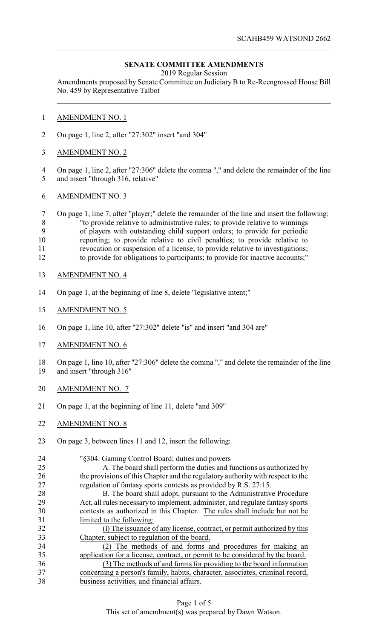## **SENATE COMMITTEE AMENDMENTS**

2019 Regular Session

Amendments proposed by Senate Committee on Judiciary B to Re-Reengrossed House Bill No. 459 by Representative Talbot

- AMENDMENT NO. 1
- On page 1, line 2, after "27:302" insert "and 304"
- AMENDMENT NO. 2
- On page 1, line 2, after "27:306" delete the comma "," and delete the remainder of the line and insert "through 316, relative"
- AMENDMENT NO. 3

 On page 1, line 7, after "player;" delete the remainder of the line and insert the following: 8 "to provide relative to administrative rules; to provide relative to winnings<br>9 of players with outstanding child support orders: to provide for periodic of players with outstanding child support orders; to provide for periodic reporting; to provide relative to civil penalties; to provide relative to revocation or suspension of a license; to provide relative to investigations; to provide for obligations to participants; to provide for inactive accounts;"

- AMENDMENT NO. 4
- On page 1, at the beginning of line 8, delete "legislative intent;"
- AMENDMENT NO. 5
- On page 1, line 10, after "27:302" delete "is" and insert "and 304 are"
- AMENDMENT NO. 6
- On page 1, line 10, after "27:306" delete the comma "," and delete the remainder of the line and insert "through 316"
- AMENDMENT NO. 7
- On page 1, at the beginning of line 11, delete "and 309"
- AMENDMENT NO. 8
- On page 3, between lines 11 and 12, insert the following:
- "§304. Gaming Control Board; duties and powers A. The board shall perform the duties and functions as authorized by the provisions of this Chapter and the regulatory authority with respect to the regulation of fantasy sports contests as provided by R.S. 27:15. 28 B. The board shall adopt, pursuant to the Administrative Procedure Act, all rules necessary to implement, administer, and regulate fantasy sports contests as authorized in this Chapter. The rules shall include but not be limited to the following: (l) The issuance of any license, contract, or permit authorized by this Chapter, subject to regulation of the board. (2) The methods of and forms and procedures for making an application for a license, contract, or permit to be considered by the board. (3) The methods of and forms for providing to the board information concerning a person's family, habits, character, associates, criminal record, business activities, and financial affairs.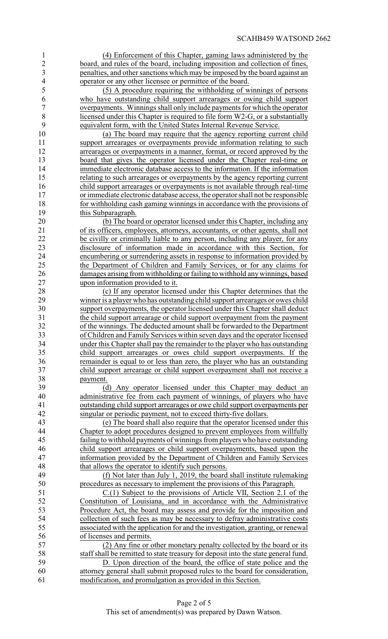(4) Enforcement of this Chapter, gaming laws administered by the board, and rules of the board, including imposition and collection of fines, penalties, and other sanctions which may be imposed by the board against an operator or any other licensee or permittee of the board.

 (5) A procedure requiring the withholding of winnings of persons 6 who have outstanding child support arrearages or owing child support overpayments. Winnings shall only include payments for which the operator overpayments. Winnings shall only include payments for which the operator 8 <br/>\n<b>8</b> <br/>\n<b>11</b> <br/>\n<b>12</b> <br/>\n<b>13</b> <br/>\n<b>15</b> <br/>\n<b>15</b> <br/>\n<b>16</b> <br/>\n<b>16</b> <br/>\n<b>16</b> <br/>\n<b>17</b> <br/>\n<b>18</b> <br/>\n<b>18</b> <br/>\n<b>18</b> <br/>\n<b>19</b> <br/>\n<b>19</b> <br/>\n<b>19</b> <br/>\n<b>19</b> <br/>\n<b>19</b> <br/>\n<b>19</b> <br/>\n<b>19</b> < equivalent form, with the United States Internal Revenue Service.

 (a) The board may require that the agency reporting current child 11 support arrearages or overpayments provide information relating to such 12 arrearages or overpayments in a manner, format, or record approved by the board that gives the operator licensed under the Chapter real-time or immediate electronic database access to the information. If the information relating to such arrearages or overpayments by the agency reporting current child support arrearages or overpayments is not available through real-time 17 or immediate electronic database access, the operator shall not be responsible<br>18 for withholding cash gaming winnings in accordance with the provisions of for withholding cash gaming winnings in accordance with the provisions of this Subparagraph.

 (b) The board or operator licensed under this Chapter, including any of its officers, employees, attorneys, accountants, or other agents, shall not 22 be civilly or criminally liable to any person, including any player, for any disclosure of information made in accordance with this Section, for 24 encumbering or surrendering assets in response to information provided by<br>25 the Department of Children and Family Services, or for any claims for the Department of Children and Family Services, or for any claims for 26 damages arising from withholding or failing to withhold any winnings, based upon information provided to it. upon information provided to it.

 (c) If any operator licensed under this Chapter determines that the winner is a player who has outstanding child support arrearages or owes child support overpayments, the operator licensed under this Chapter shall deduct the child support arrearage or child support overpayment from the payment of the winnings. The deducted amount shall be forwarded to the Department of Children and Family Services within seven days and the operator licensed 34 under this Chapter shall pay the remainder to the player who has outstanding<br>35 child support arrearages or owes child support overpayments. If the child support arrearages or owes child support overpayments. If the 36 remainder is equal to or less than zero, the player who has an outstanding child support arrearage or child support overpayment shall not receive a child support arrearage or child support overpayment shall not receive a 38 <u>payment.</u><br>39 (d

(d) Any operator licensed under this Chapter may deduct an administrative fee from each payment of winnings, of players who have outstanding child support arrearages or owe child support overpayments per singular or periodic payment, not to exceed thirty-five dollars.

 (e) The board shall also require that the operator licensed under this 44 Chapter to adopt procedures designed to prevent employees from willfully<br>45 failing to withhold payments of winnings from players who have outstanding failing to withhold payments of winnings from players who have outstanding child support arrearages or child support overpayments, based upon the information provided by the Department of Children and Family Services that allows the operator to identify such persons.

 (f) Not later than July 1, 2019, the board shall institute rulemaking procedures as necessary to implement the provisions of this Paragraph.

 C.(1) Subject to the provisions of Article VII, Section 2.1 of the Constitution of Louisiana, and in accordance with the Administrative Procedure Act, the board may assess and provide for the imposition and collection of such fees as may be necessary to defray administrative costs associated with the application for and the investigation, granting, or renewal of licenses and permits.

 (2) Any fine or other monetary penalty collected by the board or its staff shall be remitted to state treasury for deposit into the state general fund.

 D. Upon direction of the board, the office of state police and the attorney general shall submit proposed rules to the board for consideration, modification, and promulgation as provided in this Section.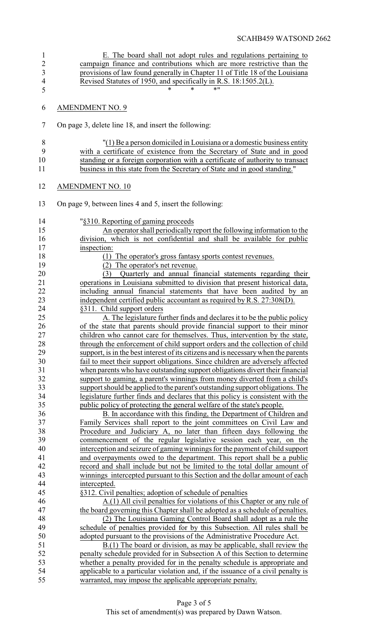| 1              | E. The board shall not adopt rules and regulations pertaining to                   |
|----------------|------------------------------------------------------------------------------------|
| $\sqrt{2}$     | campaign finance and contributions which are more restrictive than the             |
| $\mathfrak{Z}$ | provisions of law found generally in Chapter 11 of Title 18 of the Louisiana       |
| $\overline{4}$ | Revised Statutes of 1950, and specifically in R.S. 18:1505.2(L).                   |
| 5              | * 11<br>$\ast$<br>$\ast$                                                           |
| 6              | <b>AMENDMENT NO. 9</b>                                                             |
| $\tau$         | On page 3, delete line 18, and insert the following:                               |
| 8              | "(1) Be a person domiciled in Louisiana or a domestic business entity              |
| 9              | with a certificate of existence from the Secretary of State and in good            |
| 10             | standing or a foreign corporation with a certificate of authority to transact      |
| 11             | business in this state from the Secretary of State and in good standing."          |
| 12             | <b>AMENDMENT NO. 10</b>                                                            |
| 13             | On page 9, between lines 4 and 5, insert the following:                            |
| 14             | "§310. Reporting of gaming proceeds                                                |
| 15             | An operator shall periodically report the following information to the             |
| 16             | division, which is not confidential and shall be available for public              |
| 17             | inspection:                                                                        |
| 18             | (1) The operator's gross fantasy sports contest revenues.                          |
| 19             | (2) The operator's net revenue.                                                    |
| 20             | (3) Quarterly and annual financial statements regarding their                      |
| 21             | operations in Louisiana submitted to division that present historical data,        |
| 22             | including annual financial statements that have been audited by an                 |
| 23             | independent certified public accountant as required by R.S. 27:308(D).             |
| 24             | §311. Child support orders                                                         |
| 25             | A. The legislature further finds and declares it to be the public policy           |
| 26             | of the state that parents should provide financial support to their minor          |
| 27             | children who cannot care for themselves. Thus, intervention by the state,          |
| 28             | through the enforcement of child support orders and the collection of child        |
| 29             | support, is in the best interest of its citizens and is necessary when the parents |
| 30             | fail to meet their support obligations. Since children are adversely affected      |
| 31             | when parents who have outstanding support obligations divert their financial       |
| 32             | support to gaming, a parent's winnings from money diverted from a child's          |
| 33             | support should be applied to the parent's outstanding support obligations. The     |
| 34             | legislature further finds and declares that this policy is consistent with the     |
| 35             | public policy of protecting the general welfare of the state's people.             |
| 36             | B. In accordance with this finding, the Department of Children and                 |
| 37             | Family Services shall report to the joint committees on Civil Law and              |
| 38             | Procedure and Judiciary A, no later than fifteen days following the                |
| 39             | commencement of the regular legislative session each year, on the                  |
| 40             | interception and seizure of gaming winnings for the payment of child support       |
| 41             | and overpayments owed to the department. This report shall be a public             |
| 42             | record and shall include but not be limited to the total dollar amount of          |
| 43             | winnings intercepted pursuant to this Section and the dollar amount of each        |
| 44             | intercepted.                                                                       |
| 45             | §312. Civil penalties; adoption of schedule of penalties                           |
| 46             | $A(1)$ All civil penalties for violations of this Chapter or any rule of           |
| 47             | the board governing this Chapter shall be adopted as a schedule of penalties.      |
| 48             | (2) The Louisiana Gaming Control Board shall adopt as a rule the                   |
| 49             | schedule of penalties provided for by this Subsection. All rules shall be          |
| 50             | adopted pursuant to the provisions of the Administrative Procedure Act.            |
| 51             | B.(1) The board or division, as may be applicable, shall review the                |
| 52             | penalty schedule provided for in Subsection A of this Section to determine         |
| 53             | whether a penalty provided for in the penalty schedule is appropriate and          |
| 54             | applicable to a particular violation and, if the issuance of a civil penalty is    |
| 55             | warranted, may impose the applicable appropriate penalty.                          |
|                |                                                                                    |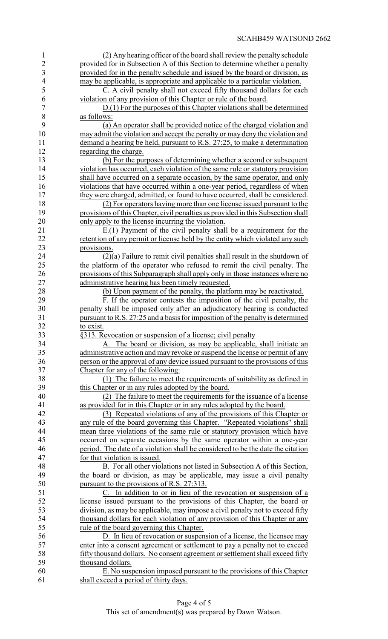| $\mathbf{1}$   | (2) Any hearing officer of the board shall review the penalty schedule           |
|----------------|----------------------------------------------------------------------------------|
| $\overline{2}$ | provided for in Subsection A of this Section to determine whether a penalty      |
| 3              | provided for in the penalty schedule and issued by the board or division, as     |
| $\overline{4}$ | may be applicable, is appropriate and applicable to a particular violation.      |
| 5              | C. A civil penalty shall not exceed fifty thousand dollars for each              |
| 6              | violation of any provision of this Chapter or rule of the board.                 |
| $\overline{7}$ | D.(1) For the purposes of this Chapter violations shall be determined            |
| $8\,$          | as follows:                                                                      |
| 9              | (a) An operator shall be provided notice of the charged violation and            |
| 10             | may admit the violation and accept the penalty or may deny the violation and     |
| 11             | demand a hearing be held, pursuant to R.S. 27:25, to make a determination        |
| 12             | regarding the charge.                                                            |
| 13             | (b) For the purposes of determining whether a second or subsequent               |
| 14             | violation has occurred, each violation of the same rule or statutory provision   |
| 15             | shall have occurred on a separate occasion, by the same operator, and only       |
| 16             |                                                                                  |
|                | violations that have occurred within a one-year period, regardless of when       |
| 17             | they were charged, admitted, or found to have occurred, shall be considered.     |
| 18             | (2) For operators having more than one license issued pursuant to the            |
| 19             | provisions of this Chapter, civil penalties as provided in this Subsection shall |
| 20             | only apply to the license incurring the violation.                               |
| 21             | $E(1)$ Payment of the civil penalty shall be a requirement for the               |
| 22             | retention of any permit or license held by the entity which violated any such    |
| 23             | provisions.                                                                      |
| 24             | $(2)(a)$ Failure to remit civil penalties shall result in the shutdown of        |
| 25             | the platform of the operator who refused to remit the civil penalty. The         |
| 26             | provisions of this Subparagraph shall apply only in those instances where no     |
| 27             | administrative hearing has been timely requested.                                |
| 28             | (b) Upon payment of the penalty, the platform may be reactivated.                |
| 29             | F. If the operator contests the imposition of the civil penalty, the             |
| 30             | penalty shall be imposed only after an adjudicatory hearing is conducted         |
| 31             | pursuant to R.S. 27:25 and a basis for imposition of the penalty is determined   |
| 32             | to exist.                                                                        |
| 33             | §313. Revocation or suspension of a license; civil penalty                       |
| 34             | The board or division, as may be applicable, shall initiate an<br>А.             |
| 35             | administrative action and may revoke or suspend the license or permit of any     |
| 36             | person or the approval of any device issued pursuant to the provisions of this   |
| 37             | Chapter for any of the following:                                                |
| 38             | (1) The failure to meet the requirements of suitability as defined in            |
| 39             | this Chapter or in any rules adopted by the board.                               |
| 40             | (2) The failure to meet the requirements for the issuance of a license           |
| 41             | as provided for in this Chapter or in any rules adopted by the board.            |
| 42             | (3) Repeated violations of any of the provisions of this Chapter or              |
| 43             | any rule of the board governing this Chapter. "Repeated violations" shall        |
| 44             | mean three violations of the same rule or statutory provision which have         |
| 45             | occurred on separate occasions by the same operator within a one-year            |
| 46             | period. The date of a violation shall be considered to be the date the citation  |
| 47             | for that violation is issued.                                                    |
| 48             | B. For all other violations not listed in Subsection A of this Section,          |
| 49             | the board or division, as may be applicable, may issue a civil penalty           |
| 50             | pursuant to the provisions of R.S. 27:313.                                       |
| 51             | C. In addition to or in lieu of the revocation or suspension of a                |
| 52             | license issued pursuant to the provisions of this Chapter, the board or          |
| 53             | division, as may be applicable, may impose a civil penalty not to exceed fifty   |
| 54             | thousand dollars for each violation of any provision of this Chapter or any      |
| 55             | rule of the board governing this Chapter.                                        |
| 56             | D. In lieu of revocation or suspension of a license, the licensee may            |
| 57             | enter into a consent agreement or settlement to pay a penalty not to exceed      |
| 58             | fifty thousand dollars. No consent agreement or settlement shall exceed fifty    |
| 59             | thousand dollars.                                                                |
| 60             | E. No suspension imposed pursuant to the provisions of this Chapter              |
| 61             | shall exceed a period of thirty days.                                            |
|                |                                                                                  |